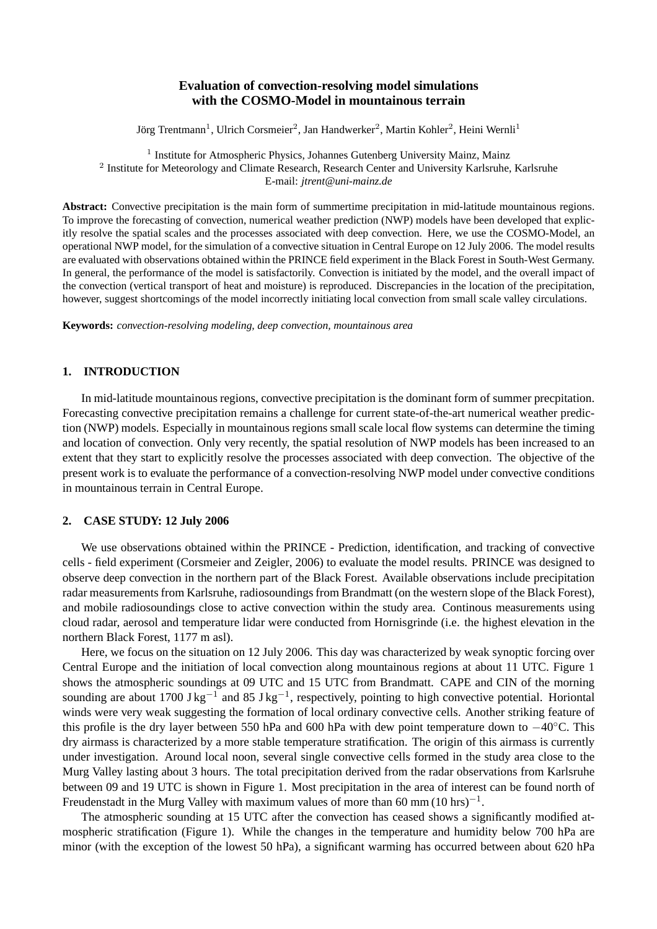# **Evaluation of convection-resolving model simulations with the COSMO-Model in mountainous terrain**

Jörg Trentmann<sup>1</sup>, Ulrich Corsmeier<sup>2</sup>, Jan Handwerker<sup>2</sup>, Martin Kohler<sup>2</sup>, Heini Wernli<sup>1</sup>

<sup>1</sup> Institute for Atmospheric Physics, Johannes Gutenberg University Mainz, Mainz <sup>2</sup> Institute for Meteorology and Climate Research, Research Center and University Karlsruhe, Karlsruhe E-mail: *jtrent@uni-mainz.de*

**Abstract:** Convective precipitation is the main form of summertime precipitation in mid-latitude mountainous regions. To improve the forecasting of convection, numerical weather prediction (NWP) models have been developed that explicitly resolve the spatial scales and the processes associated with deep convection. Here, we use the COSMO-Model, an operational NWP model, for the simulation of a convective situation in Central Europe on 12 July 2006. The model results are evaluated with observations obtained within the PRINCE field experiment in the Black Forest in South-West Germany. In general, the performance of the model is satisfactorily. Convection is initiated by the model, and the overall impact of the convection (vertical transport of heat and moisture) is reproduced. Discrepancies in the location of the precipitation, however, suggest shortcomings of the model incorrectly initiating local convection from small scale valley circulations.

**Keywords:** *convection-resolving modeling, deep convection, mountainous area*

### **1. INTRODUCTION**

In mid-latitude mountainous regions, convective precipitation is the dominant form of summer precpitation. Forecasting convective precipitation remains a challenge for current state-of-the-art numerical weather prediction (NWP) models. Especially in mountainous regions small scale local flow systems can determine the timing and location of convection. Only very recently, the spatial resolution of NWP models has been increased to an extent that they start to explicitly resolve the processes associated with deep convection. The objective of the present work is to evaluate the performance of a convection-resolving NWP model under convective conditions in mountainous terrain in Central Europe.

#### **2. CASE STUDY: 12 July 2006**

We use observations obtained within the PRINCE - Prediction, identification, and tracking of convective cells - field experiment (Corsmeier and Zeigler, 2006) to evaluate the model results. PRINCE was designed to observe deep convection in the northern part of the Black Forest. Available observations include precipitation radar measurements from Karlsruhe, radiosoundings from Brandmatt (on the western slope of the Black Forest), and mobile radiosoundings close to active convection within the study area. Continous measurements using cloud radar, aerosol and temperature lidar were conducted from Hornisgrinde (i.e. the highest elevation in the northern Black Forest, 1177 m asl).

Here, we focus on the situation on 12 July 2006. This day was characterized by weak synoptic forcing over Central Europe and the initiation of local convection along mountainous regions at about 11 UTC. Figure 1 shows the atmospheric soundings at 09 UTC and 15 UTC from Brandmatt. CAPE and CIN of the morning sounding are about 1700 J kg<sup>-1</sup> and 85 J kg<sup>-1</sup>, respectively, pointing to high convective potential. Horiontal winds were very weak suggesting the formation of local ordinary convective cells. Another striking feature of this profile is the dry layer between 550 hPa and 600 hPa with dew point temperature down to −40◦C. This dry airmass is characterized by a more stable temperature stratification. The origin of this airmass is currently under investigation. Around local noon, several single convective cells formed in the study area close to the Murg Valley lasting about 3 hours. The total precipitation derived from the radar observations from Karlsruhe between 09 and 19 UTC is shown in Figure 1. Most precipitation in the area of interest can be found north of Freudenstadt in the Murg Valley with maximum values of more than 60 mm  $(10 \text{ hrs})^{-1}$ .

The atmospheric sounding at 15 UTC after the convection has ceased shows a significantly modified atmospheric stratification (Figure 1). While the changes in the temperature and humidity below 700 hPa are minor (with the exception of the lowest 50 hPa), a significant warming has occurred between about 620 hPa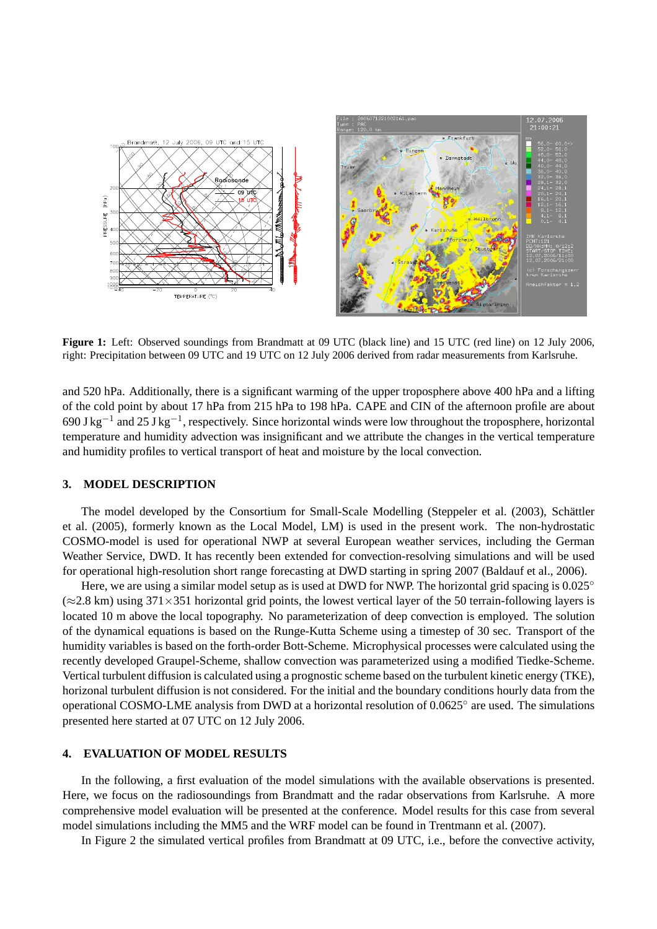

Figure 1: Left: Observed soundings from Brandmatt at 09 UTC (black line) and 15 UTC (red line) on 12 July 2006, right: Precipitation between 09 UTC and 19 UTC on 12 July 2006 derived from radar measurements from Karlsruhe.

and 520 hPa. Additionally, there is a significant warming of the upper troposphere above 400 hPa and a lifting of the cold point by about 17 hPa from 215 hPa to 198 hPa. CAPE and CIN of the afternoon profile are about 690 J kg<sup>-1</sup> and 25 J kg<sup>-1</sup>, respectively. Since horizontal winds were low throughout the troposphere, horizontal temperature and humidity advection was insignificant and we attribute the changes in the vertical temperature and humidity profiles to vertical transport of heat and moisture by the local convection.

#### **3. MODEL DESCRIPTION**

The model developed by the Consortium for Small-Scale Modelling (Steppeler et al. (2003), Schättler et al. (2005), formerly known as the Local Model, LM) is used in the present work. The non-hydrostatic COSMO-model is used for operational NWP at several European weather services, including the German Weather Service, DWD. It has recently been extended for convection-resolving simulations and will be used for operational high-resolution short range forecasting at DWD starting in spring 2007 (Baldauf et al., 2006).

Here, we are using a similar model setup as is used at DWD for NWP. The horizontal grid spacing is  $0.025^{\circ}$  $(\approx 2.8 \text{ km})$  using 371×351 horizontal grid points, the lowest vertical layer of the 50 terrain-following layers is located 10 m above the local topography. No parameterization of deep convection is employed. The solution of the dynamical equations is based on the Runge-Kutta Scheme using a timestep of 30 sec. Transport of the humidity variables is based on the forth-order Bott-Scheme. Microphysical processes were calculated using the recently developed Graupel-Scheme, shallow convection was parameterized using a modified Tiedke-Scheme. Vertical turbulent diffusion is calculated using a prognostic scheme based on the turbulent kinetic energy (TKE), horizonal turbulent diffusion is not considered. For the initial and the boundary conditions hourly data from the operational COSMO-LME analysis from DWD at a horizontal resolution of 0.0625◦ are used. The simulations presented here started at 07 UTC on 12 July 2006.

## **4. EVALUATION OF MODEL RESULTS**

In the following, a first evaluation of the model simulations with the available observations is presented. Here, we focus on the radiosoundings from Brandmatt and the radar observations from Karlsruhe. A more comprehensive model evaluation will be presented at the conference. Model results for this case from several model simulations including the MM5 and the WRF model can be found in Trentmann et al. (2007).

In Figure 2 the simulated vertical profiles from Brandmatt at 09 UTC, i.e., before the convective activity,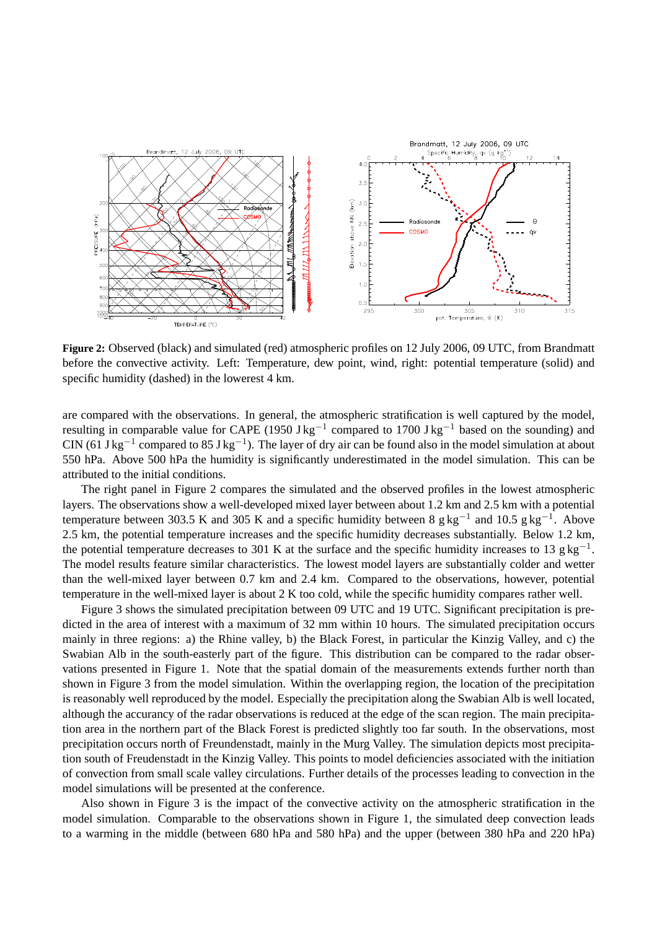

**Figure 2:** Observed (black) and simulated (red) atmospheric profiles on 12 July 2006, 09 UTC, from Brandmatt before the convective activity. Left: Temperature, dew point, wind, right: potential temperature (solid) and specific humidity (dashed) in the lowerest 4 km.

are compared with the observations. In general, the atmospheric stratification is well captured by the model, resulting in comparable value for CAPE (1950 J kg<sup>-1</sup> compared to 1700 J kg<sup>-1</sup> based on the sounding) and CIN (61 J kg<sup>-1</sup> compared to 85 J kg<sup>-1</sup>). The layer of dry air can be found also in the model simulation at about 550 hPa. Above 500 hPa the humidity is significantly underestimated in the model simulation. This can be attributed to the initial conditions.

The right panel in Figure 2 compares the simulated and the observed profiles in the lowest atmospheric layers. The observations show a well-developed mixed layer between about 1.2 km and 2.5 km with a potential temperature between 303.5 K and 305 K and a specific humidity between 8 g kg<sup>-1</sup> and 10.5 g kg<sup>-1</sup>. Above 2.5 km, the potential temperature increases and the specific humidity decreases substantially. Below 1.2 km, the potential temperature decreases to 301 K at the surface and the specific humidity increases to 13  $g\ kg^{-1}$ . The model results feature similar characteristics. The lowest model layers are substantially colder and wetter than the well-mixed layer between 0.7 km and 2.4 km. Compared to the observations, however, potential temperature in the well-mixed layer is about 2 K too cold, while the specific humidity compares rather well.

Figure 3 shows the simulated precipitation between 09 UTC and 19 UTC. Significant precipitation is predicted in the area of interest with a maximum of 32 mm within 10 hours. The simulated precipitation occurs mainly in three regions: a) the Rhine valley, b) the Black Forest, in particular the Kinzig Valley, and c) the Swabian Alb in the south-easterly part of the figure. This distribution can be compared to the radar observations presented in Figure 1. Note that the spatial domain of the measurements extends further north than shown in Figure 3 from the model simulation. Within the overlapping region, the location of the precipitation is reasonably well reproduced by the model. Especially the precipitation along the Swabian Alb is well located, although the accurancy of the radar observations is reduced at the edge of the scan region. The main precipitation area in the northern part of the Black Forest is predicted slightly too far south. In the observations, most precipitation occurs north of Freundenstadt, mainly in the Murg Valley. The simulation depicts most precipitation south of Freudenstadt in the Kinzig Valley. This points to model deficiencies associated with the initiation of convection from small scale valley circulations. Further details of the processes leading to convection in the model simulations will be presented at the conference.

Also shown in Figure 3 is the impact of the convective activity on the atmospheric stratification in the model simulation. Comparable to the observations shown in Figure 1, the simulated deep convection leads to a warming in the middle (between 680 hPa and 580 hPa) and the upper (between 380 hPa and 220 hPa)